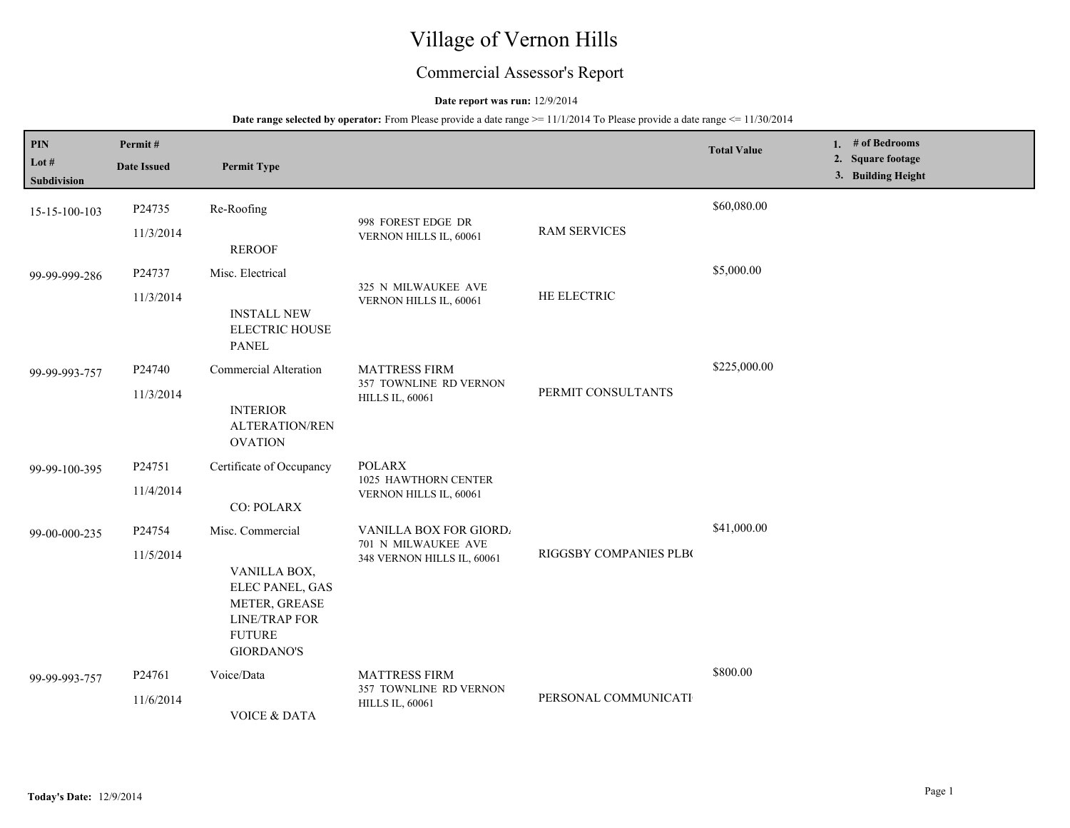# Village of Vernon Hills

## Commercial Assessor's Report

#### **Date report was run:** 12/9/2014

| PIN<br>Lot #<br>Subdivision | Permit#<br><b>Date Issued</b> | <b>Permit Type</b>                                                                                                                 |                                                                            |                        | <b>Total Value</b> | 1. $#$ of Bedrooms<br>2. Square footage<br>3. Building Height |
|-----------------------------|-------------------------------|------------------------------------------------------------------------------------------------------------------------------------|----------------------------------------------------------------------------|------------------------|--------------------|---------------------------------------------------------------|
| 15-15-100-103               | P24735<br>11/3/2014           | Re-Roofing<br><b>REROOF</b>                                                                                                        | 998 FOREST EDGE DR<br>VERNON HILLS IL, 60061                               | <b>RAM SERVICES</b>    | \$60,080.00        |                                                               |
| 99-99-999-286               | P24737<br>11/3/2014           | Misc. Electrical<br><b>INSTALL NEW</b><br><b>ELECTRIC HOUSE</b><br><b>PANEL</b>                                                    | 325 N MILWAUKEE AVE<br>VERNON HILLS IL, 60061                              | HE ELECTRIC            | \$5,000.00         |                                                               |
| 99-99-993-757               | P24740<br>11/3/2014           | Commercial Alteration<br><b>INTERIOR</b><br><b>ALTERATION/REN</b><br><b>OVATION</b>                                                | <b>MATTRESS FIRM</b><br>357 TOWNLINE RD VERNON<br><b>HILLS IL, 60061</b>   | PERMIT CONSULTANTS     | \$225,000.00       |                                                               |
| 99-99-100-395               | P24751<br>11/4/2014           | Certificate of Occupancy<br><b>CO: POLARX</b>                                                                                      | <b>POLARX</b><br>1025 HAWTHORN CENTER<br>VERNON HILLS IL, 60061            |                        |                    |                                                               |
| 99-00-000-235               | P24754<br>11/5/2014           | Misc. Commercial<br>VANILLA BOX,<br>ELEC PANEL, GAS<br>METER, GREASE<br><b>LINE/TRAP FOR</b><br><b>FUTURE</b><br><b>GIORDANO'S</b> | VANILLA BOX FOR GIORD<br>701 N MILWAUKEE AVE<br>348 VERNON HILLS IL, 60061 | RIGGSBY COMPANIES PLBO | \$41,000.00        |                                                               |
| 99-99-993-757               | P24761<br>11/6/2014           | Voice/Data<br><b>VOICE &amp; DATA</b>                                                                                              | <b>MATTRESS FIRM</b><br>357 TOWNLINE RD VERNON<br><b>HILLS IL, 60061</b>   | PERSONAL COMMUNICATI   | \$800.00           |                                                               |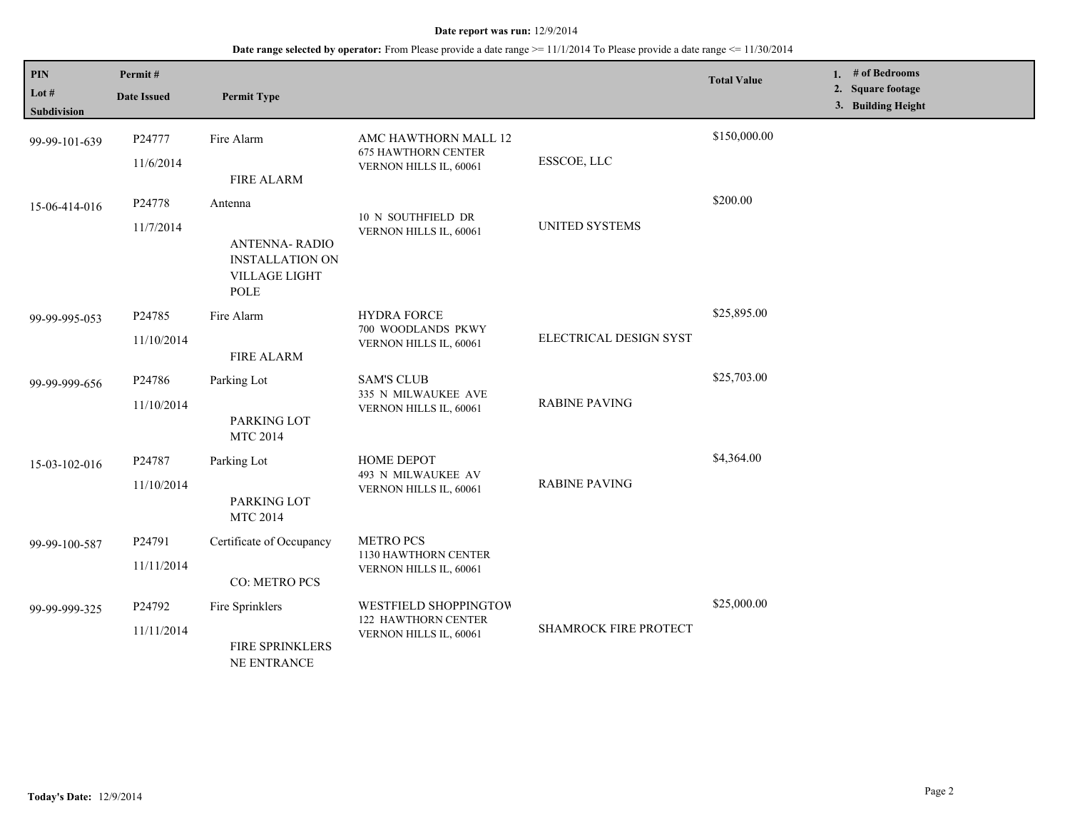| $\mathbf{PIN}$<br>Lot #<br>Subdivision | Permit#<br><b>Date Issued</b>    | <b>Permit Type</b>                                                                        |                                                                              |                              | <b>Total Value</b> |  | 1. # of Bedrooms<br>2. Square footage<br>3. Building Height |  |
|----------------------------------------|----------------------------------|-------------------------------------------------------------------------------------------|------------------------------------------------------------------------------|------------------------------|--------------------|--|-------------------------------------------------------------|--|
| 99-99-101-639                          | P24777<br>11/6/2014              | Fire Alarm<br><b>FIRE ALARM</b>                                                           | AMC HAWTHORN MALL 12<br><b>675 HAWTHORN CENTER</b><br>VERNON HILLS IL, 60061 | ESSCOE, LLC                  | \$150,000.00       |  |                                                             |  |
| 15-06-414-016                          | P24778<br>11/7/2014              | Antenna<br><b>ANTENNA-RADIO</b><br><b>INSTALLATION ON</b><br><b>VILLAGE LIGHT</b><br>POLE | 10 N SOUTHFIELD DR<br>VERNON HILLS IL, 60061                                 | <b>UNITED SYSTEMS</b>        | \$200.00           |  |                                                             |  |
| 99-99-995-053                          | P <sub>24785</sub><br>11/10/2014 | Fire Alarm<br><b>FIRE ALARM</b>                                                           | <b>HYDRA FORCE</b><br>700 WOODLANDS PKWY<br>VERNON HILLS IL, 60061           | ELECTRICAL DESIGN SYST       | \$25,895.00        |  |                                                             |  |
| 99-99-999-656                          | P24786<br>11/10/2014             | Parking Lot<br>PARKING LOT<br><b>MTC 2014</b>                                             | <b>SAM'S CLUB</b><br>335 N MILWAUKEE AVE<br>VERNON HILLS IL, 60061           | <b>RABINE PAVING</b>         | \$25,703.00        |  |                                                             |  |
| 15-03-102-016                          | P24787<br>11/10/2014             | Parking Lot<br>PARKING LOT<br><b>MTC 2014</b>                                             | HOME DEPOT<br>493 N MILWAUKEE AV<br>VERNON HILLS IL, 60061                   | <b>RABINE PAVING</b>         | \$4,364.00         |  |                                                             |  |
| 99-99-100-587                          | P24791<br>11/11/2014             | Certificate of Occupancy<br>CO: METRO PCS                                                 | <b>METRO PCS</b><br>1130 HAWTHORN CENTER<br>VERNON HILLS IL, 60061           |                              |                    |  |                                                             |  |
| 99-99-999-325                          | P24792<br>11/11/2014             | Fire Sprinklers<br>FIRE SPRINKLERS<br>NE ENTRANCE                                         | WESTFIELD SHOPPINGTOW<br>122 HAWTHORN CENTER<br>VERNON HILLS IL, 60061       | <b>SHAMROCK FIRE PROTECT</b> | \$25,000.00        |  |                                                             |  |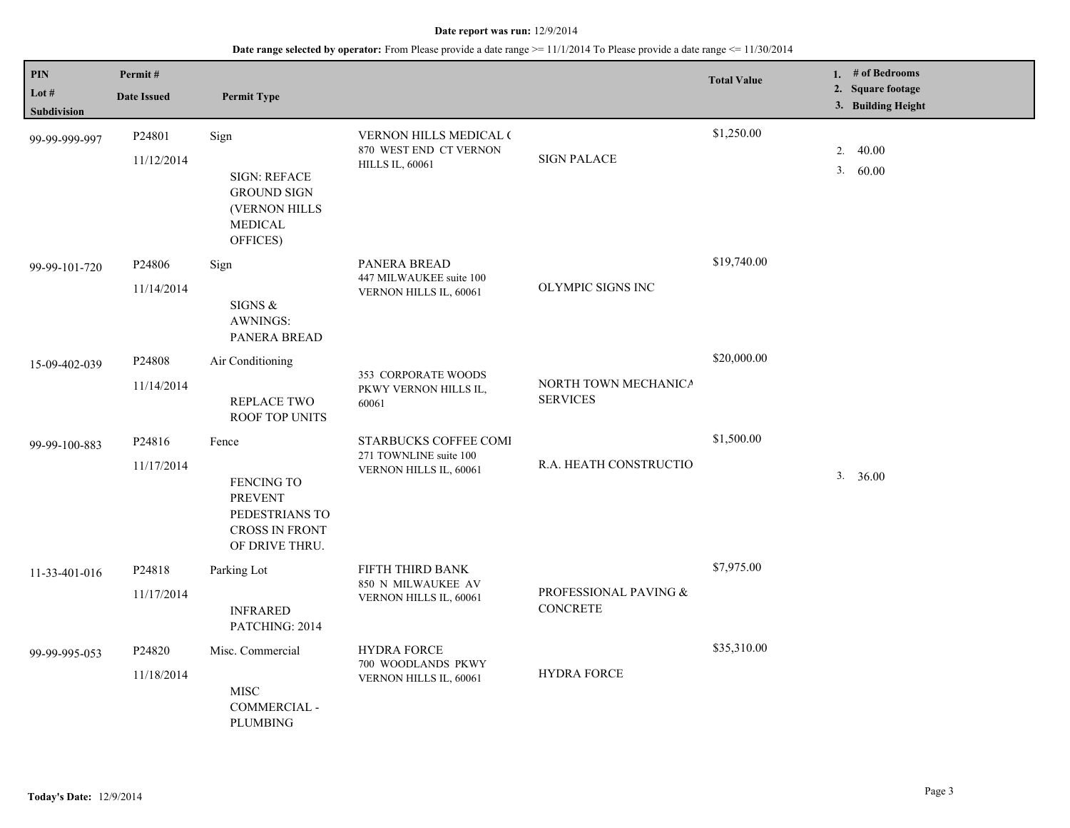| PIN<br>Lot $#$<br>Subdivision | Permit#<br><b>Date Issued</b>    | <b>Permit Type</b>                                                                               |                                                                            |                                         | <b>Total Value</b> |    | 1. # of Bedrooms<br>2. Square footage<br>3. Building Height |
|-------------------------------|----------------------------------|--------------------------------------------------------------------------------------------------|----------------------------------------------------------------------------|-----------------------------------------|--------------------|----|-------------------------------------------------------------|
| 99-99-999-997                 | P24801<br>11/12/2014             | Sign<br><b>SIGN: REFACE</b><br><b>GROUND SIGN</b><br>(VERNON HILLS<br><b>MEDICAL</b><br>OFFICES) | VERNON HILLS MEDICAL (<br>870 WEST END CT VERNON<br><b>HILLS IL, 60061</b> | <b>SIGN PALACE</b>                      | \$1,250.00         | 2. | 40.00<br>3.60.00                                            |
| 99-99-101-720                 | P24806<br>11/14/2014             | Sign<br>SIGNS &<br>AWNINGS:<br>PANERA BREAD                                                      | PANERA BREAD<br>447 MILWAUKEE suite 100<br>VERNON HILLS IL, 60061          | OLYMPIC SIGNS INC                       | \$19,740.00        |    |                                                             |
| 15-09-402-039                 | P24808<br>11/14/2014             | Air Conditioning<br>REPLACE TWO<br>ROOF TOP UNITS                                                | 353 CORPORATE WOODS<br>PKWY VERNON HILLS IL,<br>60061                      | NORTH TOWN MECHANICA<br><b>SERVICES</b> | \$20,000.00        |    |                                                             |
| 99-99-100-883                 | P24816<br>11/17/2014             | Fence<br>FENCING TO<br><b>PREVENT</b><br>PEDESTRIANS TO<br>CROSS IN FRONT<br>OF DRIVE THRU.      | STARBUCKS COFFEE COMI<br>271 TOWNLINE suite 100<br>VERNON HILLS IL, 60061  | R.A. HEATH CONSTRUCTIO                  | \$1,500.00         |    | 3. 36.00                                                    |
| 11-33-401-016                 | P24818<br>11/17/2014             | Parking Lot<br><b>INFRARED</b><br>PATCHING: 2014                                                 | FIFTH THIRD BANK<br>850 N MILWAUKEE AV<br>VERNON HILLS IL, 60061           | PROFESSIONAL PAVING &<br>CONCRETE       | \$7,975.00         |    |                                                             |
| 99-99-995-053                 | P <sub>24820</sub><br>11/18/2014 | Misc. Commercial<br><b>MISC</b><br>COMMERCIAL -<br><b>PLUMBING</b>                               | <b>HYDRA FORCE</b><br>700 WOODLANDS PKWY<br>VERNON HILLS IL, 60061         | <b>HYDRA FORCE</b>                      | \$35,310.00        |    |                                                             |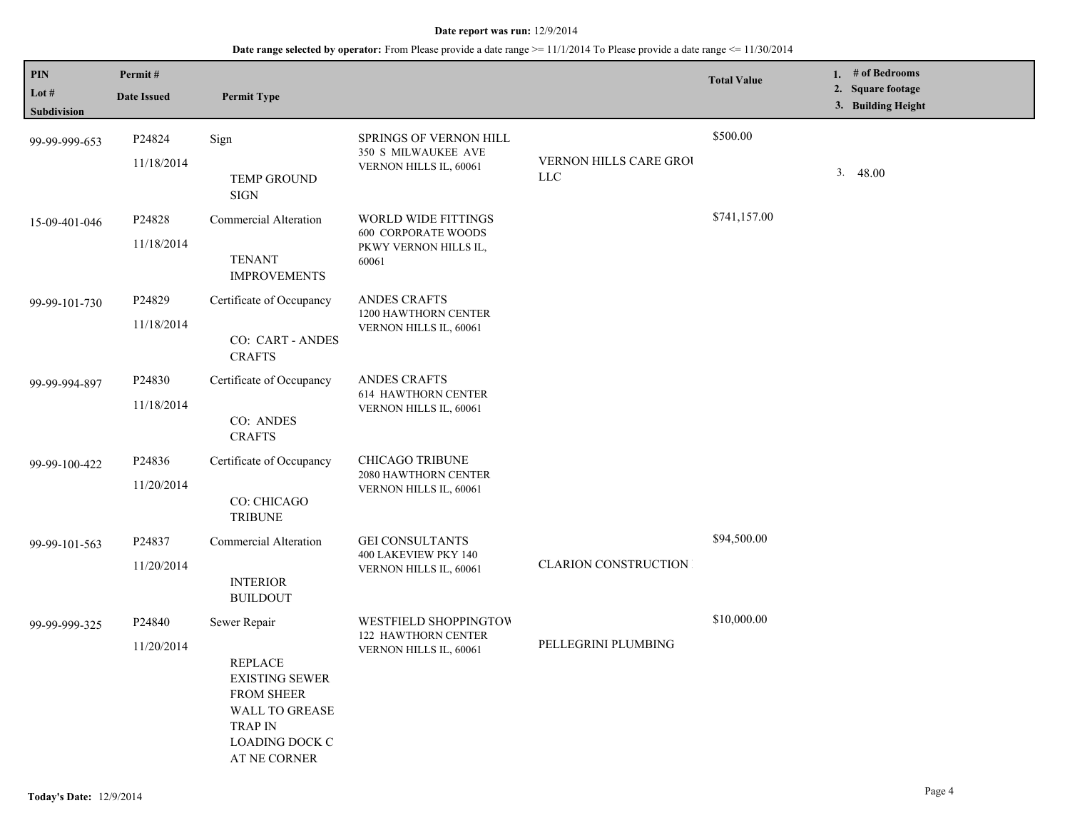| PIN<br>Lot $#$<br>Subdivision | Permit#<br><b>Date Issued</b> | <b>Permit Type</b>                                                                                                                                        |                                                                                     |                                       | <b>Total Value</b> |    | 1. # of Bedrooms<br>2. Square footage<br>3. Building Height |
|-------------------------------|-------------------------------|-----------------------------------------------------------------------------------------------------------------------------------------------------------|-------------------------------------------------------------------------------------|---------------------------------------|--------------------|----|-------------------------------------------------------------|
| 99-99-999-653                 | P24824<br>11/18/2014          | Sign<br>TEMP GROUND<br><b>SIGN</b>                                                                                                                        | <b>SPRINGS OF VERNON HILL</b><br>350 S MILWAUKEE AVE<br>VERNON HILLS IL, 60061      | VERNON HILLS CARE GROU<br>${\rm LLC}$ | \$500.00           | 3. | 48.00                                                       |
| 15-09-401-046                 | P24828<br>11/18/2014          | Commercial Alteration<br><b>TENANT</b><br><b>IMPROVEMENTS</b>                                                                                             | WORLD WIDE FITTINGS<br><b>600 CORPORATE WOODS</b><br>PKWY VERNON HILLS IL,<br>60061 |                                       | \$741,157.00       |    |                                                             |
| 99-99-101-730                 | P24829<br>11/18/2014          | Certificate of Occupancy<br>CO: CART - ANDES<br><b>CRAFTS</b>                                                                                             | <b>ANDES CRAFTS</b><br>1200 HAWTHORN CENTER<br>VERNON HILLS IL, 60061               |                                       |                    |    |                                                             |
| 99-99-994-897                 | P24830<br>11/18/2014          | Certificate of Occupancy<br>CO: ANDES<br><b>CRAFTS</b>                                                                                                    | <b>ANDES CRAFTS</b><br><b>614 HAWTHORN CENTER</b><br>VERNON HILLS IL, 60061         |                                       |                    |    |                                                             |
| 99-99-100-422                 | P24836<br>11/20/2014          | Certificate of Occupancy<br>CO: CHICAGO<br><b>TRIBUNE</b>                                                                                                 | <b>CHICAGO TRIBUNE</b><br>2080 HAWTHORN CENTER<br>VERNON HILLS IL, 60061            |                                       |                    |    |                                                             |
| 99-99-101-563                 | P24837<br>11/20/2014          | Commercial Alteration<br><b>INTERIOR</b><br><b>BUILDOUT</b>                                                                                               | <b>GEI CONSULTANTS</b><br>400 LAKEVIEW PKY 140<br>VERNON HILLS IL, 60061            | <b>CLARION CONSTRUCTION</b>           | \$94,500.00        |    |                                                             |
| 99-99-999-325                 | P24840<br>11/20/2014          | Sewer Repair<br><b>REPLACE</b><br><b>EXISTING SEWER</b><br><b>FROM SHEER</b><br>WALL TO GREASE<br><b>TRAP IN</b><br><b>LOADING DOCK C</b><br>AT NE CORNER | WESTFIELD SHOPPINGTOW<br>122 HAWTHORN CENTER<br>VERNON HILLS IL, 60061              | PELLEGRINI PLUMBING                   | \$10,000.00        |    |                                                             |